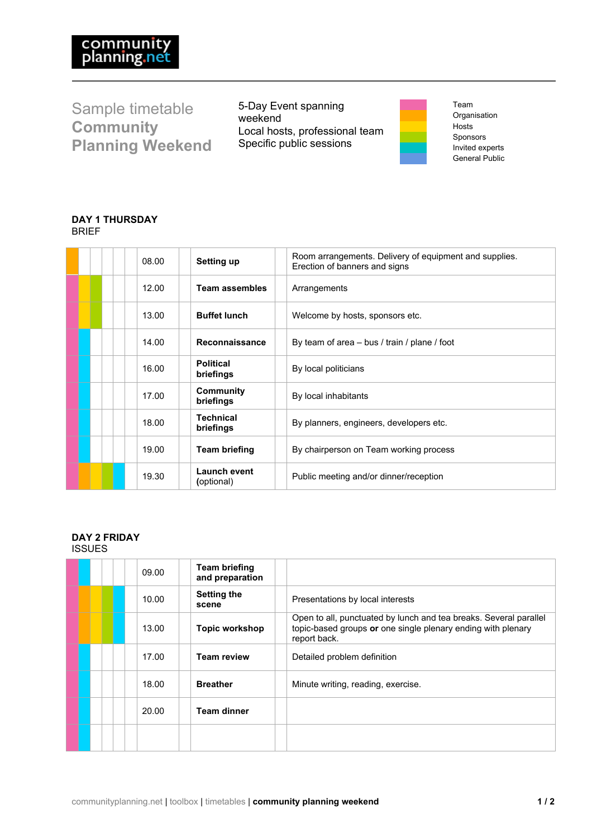Sample timetable **Community Planning Weekend**

5-Day Event spanning weekend Local hosts, professional team Specific public sessions

Team Organisation Hosts Sponsors Invited experts General Public

# **DAY 1 THURSDAY** BRIEF

| 08.00 | Setting up                    | Room arrangements. Delivery of equipment and supplies.<br>Erection of banners and signs |
|-------|-------------------------------|-----------------------------------------------------------------------------------------|
| 12.00 | <b>Team assembles</b>         | Arrangements                                                                            |
| 13.00 | <b>Buffet lunch</b>           | Welcome by hosts, sponsors etc.                                                         |
| 14.00 | Reconnaissance                | By team of area – bus / train / plane / foot                                            |
| 16.00 | <b>Political</b><br>briefings | By local politicians                                                                    |
| 17.00 | <b>Community</b><br>briefings | By local inhabitants                                                                    |
| 18.00 | <b>Technical</b><br>briefings | By planners, engineers, developers etc.                                                 |
| 19.00 | <b>Team briefing</b>          | By chairperson on Team working process                                                  |
| 19.30 | Launch event<br>(optional)    | Public meeting and/or dinner/reception                                                  |

#### **DAY 2 FRIDAY** ISSUES

| 09.00 | <b>Team briefing</b><br>and preparation |                                                                                                                                                   |
|-------|-----------------------------------------|---------------------------------------------------------------------------------------------------------------------------------------------------|
| 10.00 | <b>Setting the</b><br>scene             | Presentations by local interests                                                                                                                  |
| 13.00 | Topic workshop                          | Open to all, punctuated by lunch and tea breaks. Several parallel<br>topic-based groups or one single plenary ending with plenary<br>report back. |
| 17.00 | <b>Team review</b>                      | Detailed problem definition                                                                                                                       |
| 18.00 | <b>Breather</b>                         | Minute writing, reading, exercise.                                                                                                                |
| 20.00 | <b>Team dinner</b>                      |                                                                                                                                                   |
|       |                                         |                                                                                                                                                   |